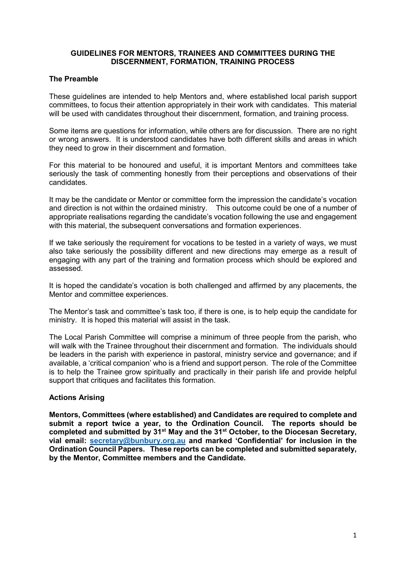#### **GUIDELINES FOR MENTORS, TRAINEES AND COMMITTEES DURING THE DISCERNMENT, FORMATION, TRAINING PROCESS**

#### **The Preamble**

These guidelines are intended to help Mentors and, where established local parish support committees, to focus their attention appropriately in their work with candidates. This material will be used with candidates throughout their discernment, formation, and training process.

Some items are questions for information, while others are for discussion. There are no right or wrong answers. It is understood candidates have both different skills and areas in which they need to grow in their discernment and formation.

For this material to be honoured and useful, it is important Mentors and committees take seriously the task of commenting honestly from their perceptions and observations of their candidates.

It may be the candidate or Mentor or committee form the impression the candidate's vocation and direction is not within the ordained ministry. This outcome could be one of a number of appropriate realisations regarding the candidate's vocation following the use and engagement with this material, the subsequent conversations and formation experiences.

If we take seriously the requirement for vocations to be tested in a variety of ways, we must also take seriously the possibility different and new directions may emerge as a result of engaging with any part of the training and formation process which should be explored and assessed.

It is hoped the candidate's vocation is both challenged and affirmed by any placements, the Mentor and committee experiences.

The Mentor's task and committee's task too, if there is one, is to help equip the candidate for ministry. It is hoped this material will assist in the task.

The Local Parish Committee will comprise a minimum of three people from the parish, who will walk with the Trainee throughout their discernment and formation. The individuals should be leaders in the parish with experience in pastoral, ministry service and governance; and if available, a 'critical companion' who is a friend and support person. The role of the Committee is to help the Trainee grow spiritually and practically in their parish life and provide helpful support that critiques and facilitates this formation.

#### **Actions Arising**

**Mentors, Committees (where established) and Candidates are required to complete and submit a report twice a year, to the Ordination Council. The reports should be completed and submitted by 31st May and the 31st October, to the Diocesan Secretary, vial email: [secretary@bunbury.org.au](mailto:secretary@bunbury.org.au) and marked 'Confidential' for inclusion in the Ordination Council Papers. These reports can be completed and submitted separately, by the Mentor, Committee members and the Candidate.**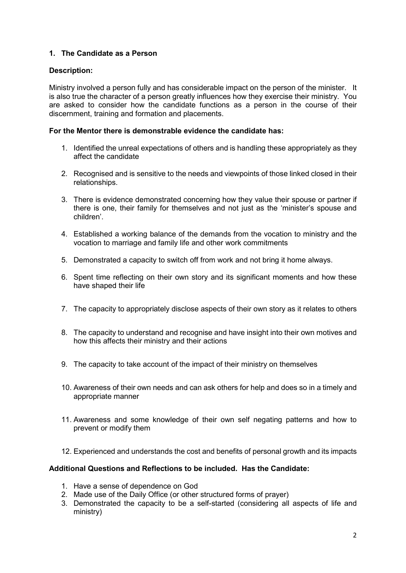# **1. The Candidate as a Person**

## **Description:**

Ministry involved a person fully and has considerable impact on the person of the minister. It is also true the character of a person greatly influences how they exercise their ministry. You are asked to consider how the candidate functions as a person in the course of their discernment, training and formation and placements.

### **For the Mentor there is demonstrable evidence the candidate has:**

- 1. Identified the unreal expectations of others and is handling these appropriately as they affect the candidate
- 2. Recognised and is sensitive to the needs and viewpoints of those linked closed in their relationships.
- 3. There is evidence demonstrated concerning how they value their spouse or partner if there is one, their family for themselves and not just as the 'minister's spouse and children'.
- 4. Established a working balance of the demands from the vocation to ministry and the vocation to marriage and family life and other work commitments
- 5. Demonstrated a capacity to switch off from work and not bring it home always.
- 6. Spent time reflecting on their own story and its significant moments and how these have shaped their life
- 7. The capacity to appropriately disclose aspects of their own story as it relates to others
- 8. The capacity to understand and recognise and have insight into their own motives and how this affects their ministry and their actions
- 9. The capacity to take account of the impact of their ministry on themselves
- 10. Awareness of their own needs and can ask others for help and does so in a timely and appropriate manner
- 11. Awareness and some knowledge of their own self negating patterns and how to prevent or modify them
- 12. Experienced and understands the cost and benefits of personal growth and its impacts

- 1. Have a sense of dependence on God
- 2. Made use of the Daily Office (or other structured forms of prayer)
- 3. Demonstrated the capacity to be a self-started (considering all aspects of life and ministry)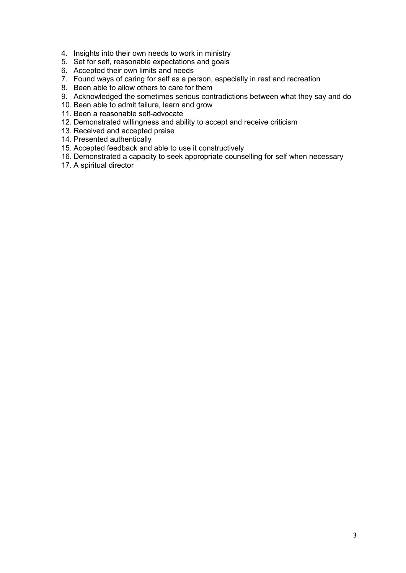- 4. Insights into their own needs to work in ministry
- 5. Set for self, reasonable expectations and goals
- 6. Accepted their own limits and needs
- 7. Found ways of caring for self as a person, especially in rest and recreation
- 8. Been able to allow others to care for them
- 9. Acknowledged the sometimes serious contradictions between what they say and do
- 10. Been able to admit failure, learn and grow
- 11. Been a reasonable self-advocate
- 12. Demonstrated willingness and ability to accept and receive criticism
- 13. Received and accepted praise
- 14. Presented authentically
- 15. Accepted feedback and able to use it constructively
- 16. Demonstrated a capacity to seek appropriate counselling for self when necessary
- 17. A spiritual director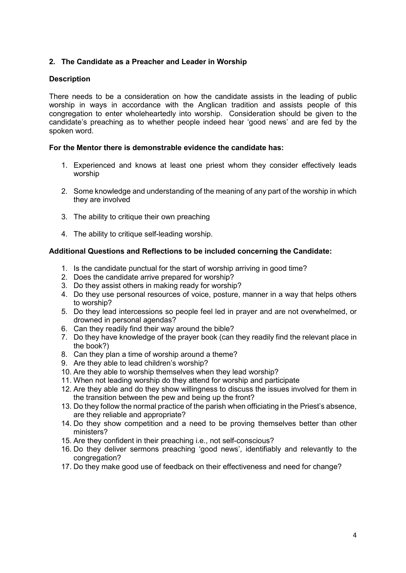## **2. The Candidate as a Preacher and Leader in Worship**

### **Description**

There needs to be a consideration on how the candidate assists in the leading of public worship in ways in accordance with the Anglican tradition and assists people of this congregation to enter wholeheartedly into worship. Consideration should be given to the candidate's preaching as to whether people indeed hear 'good news' and are fed by the spoken word.

## **For the Mentor there is demonstrable evidence the candidate has:**

- 1. Experienced and knows at least one priest whom they consider effectively leads worship
- 2. Some knowledge and understanding of the meaning of any part of the worship in which they are involved
- 3. The ability to critique their own preaching
- 4. The ability to critique self-leading worship.

- 1. Is the candidate punctual for the start of worship arriving in good time?
- 2. Does the candidate arrive prepared for worship?
- 3. Do they assist others in making ready for worship?
- 4. Do they use personal resources of voice, posture, manner in a way that helps others to worship?
- 5. Do they lead intercessions so people feel led in prayer and are not overwhelmed, or drowned in personal agendas?
- 6. Can they readily find their way around the bible?
- 7. Do they have knowledge of the prayer book (can they readily find the relevant place in the book?)
- 8. Can they plan a time of worship around a theme?
- 9. Are they able to lead children's worship?
- 10. Are they able to worship themselves when they lead worship?
- 11. When not leading worship do they attend for worship and participate
- 12. Are they able and do they show willingness to discuss the issues involved for them in the transition between the pew and being up the front?
- 13. Do they follow the normal practice of the parish when officiating in the Priest's absence, are they reliable and appropriate?
- 14. Do they show competition and a need to be proving themselves better than other ministers?
- 15. Are they confident in their preaching i.e., not self-conscious?
- 16. Do they deliver sermons preaching 'good news', identifiably and relevantly to the congregation?
- 17. Do they make good use of feedback on their effectiveness and need for change?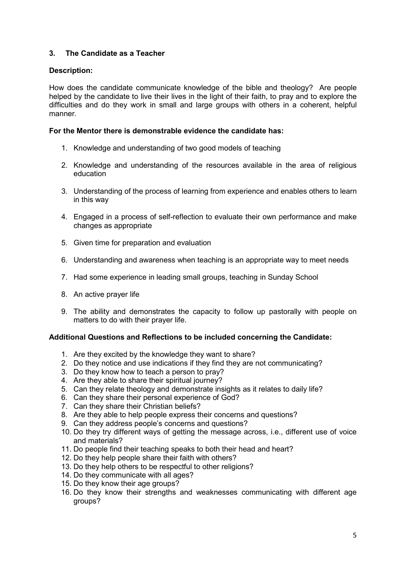# **3. The Candidate as a Teacher**

## **Description:**

How does the candidate communicate knowledge of the bible and theology? Are people helped by the candidate to live their lives in the light of their faith, to pray and to explore the difficulties and do they work in small and large groups with others in a coherent, helpful manner.

### **For the Mentor there is demonstrable evidence the candidate has:**

- 1. Knowledge and understanding of two good models of teaching
- 2. Knowledge and understanding of the resources available in the area of religious education
- 3. Understanding of the process of learning from experience and enables others to learn in this way
- 4. Engaged in a process of self-reflection to evaluate their own performance and make changes as appropriate
- 5. Given time for preparation and evaluation
- 6. Understanding and awareness when teaching is an appropriate way to meet needs
- 7. Had some experience in leading small groups, teaching in Sunday School
- 8. An active prayer life
- 9. The ability and demonstrates the capacity to follow up pastorally with people on matters to do with their prayer life.

- 1. Are they excited by the knowledge they want to share?
- 2. Do they notice and use indications if they find they are not communicating?
- 3. Do they know how to teach a person to pray?
- 4. Are they able to share their spiritual journey?
- 5. Can they relate theology and demonstrate insights as it relates to daily life?
- 6. Can they share their personal experience of God?
- 7. Can they share their Christian beliefs?
- 8. Are they able to help people express their concerns and questions?
- 9. Can they address people's concerns and questions?
- 10. Do they try different ways of getting the message across, i.e., different use of voice and materials?
- 11. Do people find their teaching speaks to both their head and heart?
- 12. Do they help people share their faith with others?
- 13. Do they help others to be respectful to other religions?
- 14. Do they communicate with all ages?
- 15. Do they know their age groups?
- 16. Do they know their strengths and weaknesses communicating with different age groups?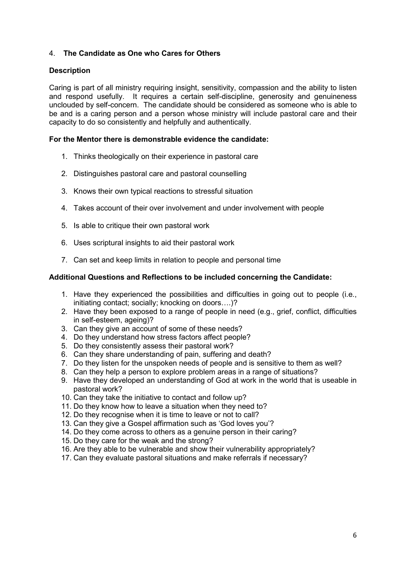## 4. **The Candidate as One who Cares for Others**

### **Description**

Caring is part of all ministry requiring insight, sensitivity, compassion and the ability to listen and respond usefully. It requires a certain self-discipline, generosity and genuineness unclouded by self-concern. The candidate should be considered as someone who is able to be and is a caring person and a person whose ministry will include pastoral care and their capacity to do so consistently and helpfully and authentically.

#### **For the Mentor there is demonstrable evidence the candidate:**

- 1. Thinks theologically on their experience in pastoral care
- 2. Distinguishes pastoral care and pastoral counselling
- 3. Knows their own typical reactions to stressful situation
- 4. Takes account of their over involvement and under involvement with people
- 5. Is able to critique their own pastoral work
- 6. Uses scriptural insights to aid their pastoral work
- 7. Can set and keep limits in relation to people and personal time

- 1. Have they experienced the possibilities and difficulties in going out to people (i.e., initiating contact; socially; knocking on doors….)?
- 2. Have they been exposed to a range of people in need (e.g., grief, conflict, difficulties in self-esteem, ageing)?
- 3. Can they give an account of some of these needs?
- 4. Do they understand how stress factors affect people?
- 5. Do they consistently assess their pastoral work?
- 6. Can they share understanding of pain, suffering and death?
- 7. Do they listen for the unspoken needs of people and is sensitive to them as well?
- 8. Can they help a person to explore problem areas in a range of situations?
- 9. Have they developed an understanding of God at work in the world that is useable in pastoral work?
- 10. Can they take the initiative to contact and follow up?
- 11. Do they know how to leave a situation when they need to?
- 12. Do they recognise when it is time to leave or not to call?
- 13. Can they give a Gospel affirmation such as 'God loves you'?
- 14. Do they come across to others as a genuine person in their caring?
- 15. Do they care for the weak and the strong?
- 16. Are they able to be vulnerable and show their vulnerability appropriately?
- 17. Can they evaluate pastoral situations and make referrals if necessary?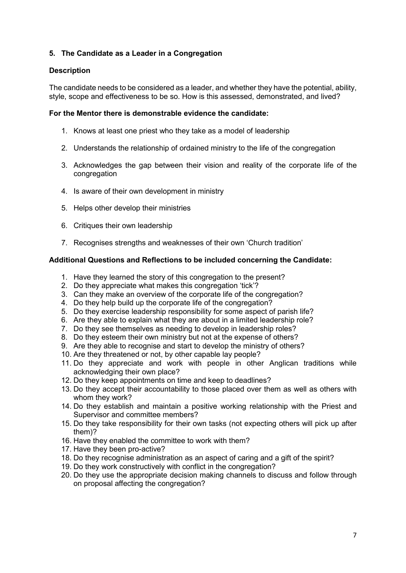# **5. The Candidate as a Leader in a Congregation**

## **Description**

The candidate needs to be considered as a leader, and whether they have the potential, ability, style, scope and effectiveness to be so. How is this assessed, demonstrated, and lived?

#### **For the Mentor there is demonstrable evidence the candidate:**

- 1. Knows at least one priest who they take as a model of leadership
- 2. Understands the relationship of ordained ministry to the life of the congregation
- 3. Acknowledges the gap between their vision and reality of the corporate life of the congregation
- 4. Is aware of their own development in ministry
- 5. Helps other develop their ministries
- 6. Critiques their own leadership
- 7. Recognises strengths and weaknesses of their own 'Church tradition'

- 1. Have they learned the story of this congregation to the present?
- 2. Do they appreciate what makes this congregation 'tick'?
- 3. Can they make an overview of the corporate life of the congregation?
- 4. Do they help build up the corporate life of the congregation?
- 5. Do they exercise leadership responsibility for some aspect of parish life?
- 6. Are they able to explain what they are about in a limited leadership role?
- 7. Do they see themselves as needing to develop in leadership roles?
- 8. Do they esteem their own ministry but not at the expense of others?
- 9. Are they able to recognise and start to develop the ministry of others?
- 10. Are they threatened or not, by other capable lay people?
- 11. Do they appreciate and work with people in other Anglican traditions while acknowledging their own place?
- 12. Do they keep appointments on time and keep to deadlines?
- 13. Do they accept their accountability to those placed over them as well as others with whom they work?
- 14. Do they establish and maintain a positive working relationship with the Priest and Supervisor and committee members?
- 15. Do they take responsibility for their own tasks (not expecting others will pick up after them)?
- 16. Have they enabled the committee to work with them?
- 17. Have they been pro-active?
- 18. Do they recognise administration as an aspect of caring and a gift of the spirit?
- 19. Do they work constructively with conflict in the congregation?
- 20. Do they use the appropriate decision making channels to discuss and follow through on proposal affecting the congregation?